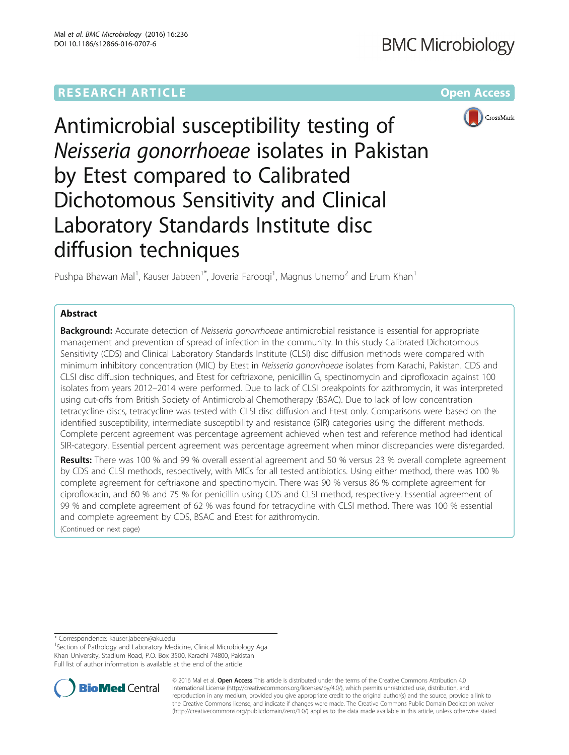# **RESEARCH ARTICLE External Structure Community Community Community Community Community Community Community Community**



Antimicrobial susceptibility testing of Neisseria gonorrhoeae isolates in Pakistan by Etest compared to Calibrated Dichotomous Sensitivity and Clinical Laboratory Standards Institute disc diffusion techniques

Pushpa Bhawan Mal<sup>1</sup>, Kauser Jabeen<sup>1\*</sup>, Joveria Farooqi<sup>1</sup>, Magnus Unemo<sup>2</sup> and Erum Khan<sup>1</sup>

## Abstract

Background: Accurate detection of Neisseria gonorrhoeae antimicrobial resistance is essential for appropriate management and prevention of spread of infection in the community. In this study Calibrated Dichotomous Sensitivity (CDS) and Clinical Laboratory Standards Institute (CLSI) disc diffusion methods were compared with minimum inhibitory concentration (MIC) by Etest in Neisseria gonorrhoeae isolates from Karachi, Pakistan. CDS and CLSI disc diffusion techniques, and Etest for ceftriaxone, penicillin G, spectinomycin and ciprofloxacin against 100 isolates from years 2012–2014 were performed. Due to lack of CLSI breakpoints for azithromycin, it was interpreted using cut-offs from British Society of Antimicrobial Chemotherapy (BSAC). Due to lack of low concentration tetracycline discs, tetracycline was tested with CLSI disc diffusion and Etest only. Comparisons were based on the identified susceptibility, intermediate susceptibility and resistance (SIR) categories using the different methods. Complete percent agreement was percentage agreement achieved when test and reference method had identical SIR-category. Essential percent agreement was percentage agreement when minor discrepancies were disregarded.

Results: There was 100 % and 99 % overall essential agreement and 50 % versus 23 % overall complete agreement by CDS and CLSI methods, respectively, with MICs for all tested antibiotics. Using either method, there was 100 % complete agreement for ceftriaxone and spectinomycin. There was 90 % versus 86 % complete agreement for ciprofloxacin, and 60 % and 75 % for penicillin using CDS and CLSI method, respectively. Essential agreement of 99 % and complete agreement of 62 % was found for tetracycline with CLSI method. There was 100 % essential and complete agreement by CDS, BSAC and Etest for azithromycin.

(Continued on next page)

\* Correspondence: [kauser.jabeen@aku.edu](mailto:kauser.jabeen@aku.edu) <sup>1</sup>

<sup>1</sup>Section of Pathology and Laboratory Medicine, Clinical Microbiology Aga Khan University, Stadium Road, P.O. Box 3500, Karachi 74800, Pakistan Full list of author information is available at the end of the article



© 2016 Mal et al. Open Access This article is distributed under the terms of the Creative Commons Attribution 4.0 International License [\(http://creativecommons.org/licenses/by/4.0/](http://creativecommons.org/licenses/by/4.0/)), which permits unrestricted use, distribution, and reproduction in any medium, provided you give appropriate credit to the original author(s) and the source, provide a link to the Creative Commons license, and indicate if changes were made. The Creative Commons Public Domain Dedication waiver [\(http://creativecommons.org/publicdomain/zero/1.0/](http://creativecommons.org/publicdomain/zero/1.0/)) applies to the data made available in this article, unless otherwise stated.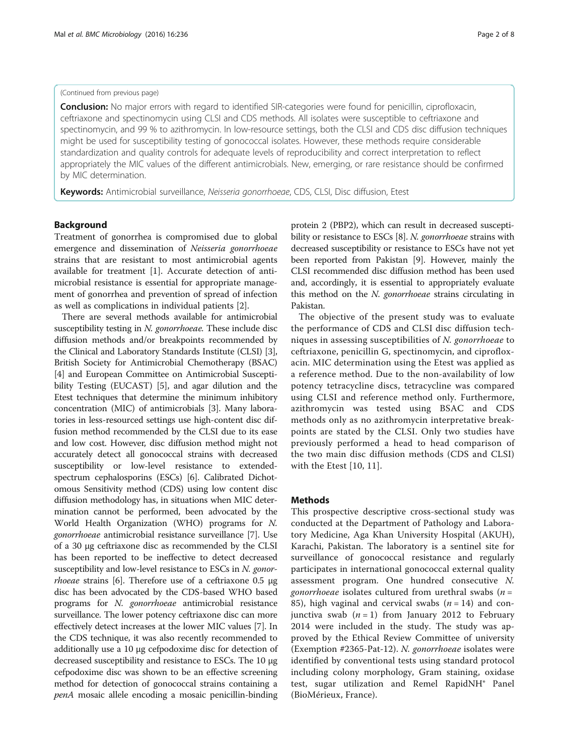#### (Continued from previous page)

Conclusion: No major errors with regard to identified SIR-categories were found for penicillin, ciprofloxacin, ceftriaxone and spectinomycin using CLSI and CDS methods. All isolates were susceptible to ceftriaxone and spectinomycin, and 99 % to azithromycin. In low-resource settings, both the CLSI and CDS disc diffusion techniques might be used for susceptibility testing of gonococcal isolates. However, these methods require considerable standardization and quality controls for adequate levels of reproducibility and correct interpretation to reflect appropriately the MIC values of the different antimicrobials. New, emerging, or rare resistance should be confirmed by MIC determination.

Keywords: Antimicrobial surveillance, Neisseria gonorrhoeae, CDS, CLSI, Disc diffusion, Etest

#### Background

Treatment of gonorrhea is compromised due to global emergence and dissemination of Neisseria gonorrhoeae strains that are resistant to most antimicrobial agents available for treatment [\[1](#page-6-0)]. Accurate detection of antimicrobial resistance is essential for appropriate management of gonorrhea and prevention of spread of infection as well as complications in individual patients [[2\]](#page-6-0).

There are several methods available for antimicrobial susceptibility testing in N. gonorrhoeae. These include disc diffusion methods and/or breakpoints recommended by the Clinical and Laboratory Standards Institute (CLSI) [[3](#page-6-0)], British Society for Antimicrobial Chemotherapy (BSAC) [[4\]](#page-6-0) and European Committee on Antimicrobial Susceptibility Testing (EUCAST) [\[5](#page-6-0)], and agar dilution and the Etest techniques that determine the minimum inhibitory concentration (MIC) of antimicrobials [\[3](#page-6-0)]. Many laboratories in less-resourced settings use high-content disc diffusion method recommended by the CLSI due to its ease and low cost. However, disc diffusion method might not accurately detect all gonococcal strains with decreased susceptibility or low-level resistance to extendedspectrum cephalosporins (ESCs) [[6\]](#page-6-0). Calibrated Dichotomous Sensitivity method (CDS) using low content disc diffusion methodology has, in situations when MIC determination cannot be performed, been advocated by the World Health Organization (WHO) programs for N. gonorrhoeae antimicrobial resistance surveillance [[7\]](#page-6-0). Use of a 30 μg ceftriaxone disc as recommended by the CLSI has been reported to be ineffective to detect decreased susceptibility and low-level resistance to ESCs in N. gonor*rhoeae* strains [[6\]](#page-6-0). Therefore use of a ceftriaxone 0.5  $\mu$ g disc has been advocated by the CDS-based WHO based programs for N. gonorrhoeae antimicrobial resistance surveillance. The lower potency ceftriaxone disc can more effectively detect increases at the lower MIC values [\[7\]](#page-6-0). In the CDS technique, it was also recently recommended to additionally use a 10 μg cefpodoxime disc for detection of decreased susceptibility and resistance to ESCs. The 10 μg cefpodoxime disc was shown to be an effective screening method for detection of gonococcal strains containing a penA mosaic allele encoding a mosaic penicillin-binding

protein 2 (PBP2), which can result in decreased suscepti-bility or resistance to ESCs [\[8\]](#page-6-0). N. gonorrhoeae strains with decreased susceptibility or resistance to ESCs have not yet been reported from Pakistan [\[9](#page-6-0)]. However, mainly the CLSI recommended disc diffusion method has been used and, accordingly, it is essential to appropriately evaluate this method on the N. gonorrhoeae strains circulating in Pakistan.

The objective of the present study was to evaluate the performance of CDS and CLSI disc diffusion techniques in assessing susceptibilities of N. gonorrhoeae to ceftriaxone, penicillin G, spectinomycin, and ciprofloxacin. MIC determination using the Etest was applied as a reference method. Due to the non-availability of low potency tetracycline discs, tetracycline was compared using CLSI and reference method only. Furthermore, azithromycin was tested using BSAC and CDS methods only as no azithromycin interpretative breakpoints are stated by the CLSI. Only two studies have previously performed a head to head comparison of the two main disc diffusion methods (CDS and CLSI) with the Etest [[10](#page-6-0), [11\]](#page-6-0).

#### Methods

This prospective descriptive cross-sectional study was conducted at the Department of Pathology and Laboratory Medicine, Aga Khan University Hospital (AKUH), Karachi, Pakistan. The laboratory is a sentinel site for surveillance of gonococcal resistance and regularly participates in international gonococcal external quality assessment program. One hundred consecutive N. gonorrhoeae isolates cultured from urethral swabs ( $n =$ 85), high vaginal and cervical swabs  $(n = 14)$  and conjunctiva swab  $(n = 1)$  from January 2012 to February 2014 were included in the study. The study was approved by the Ethical Review Committee of university (Exemption #2365-Pat-12). N. gonorrhoeae isolates were identified by conventional tests using standard protocol including colony morphology, Gram staining, oxidase test, sugar utilization and Remel RapidNH® Panel (BioMérieux, France).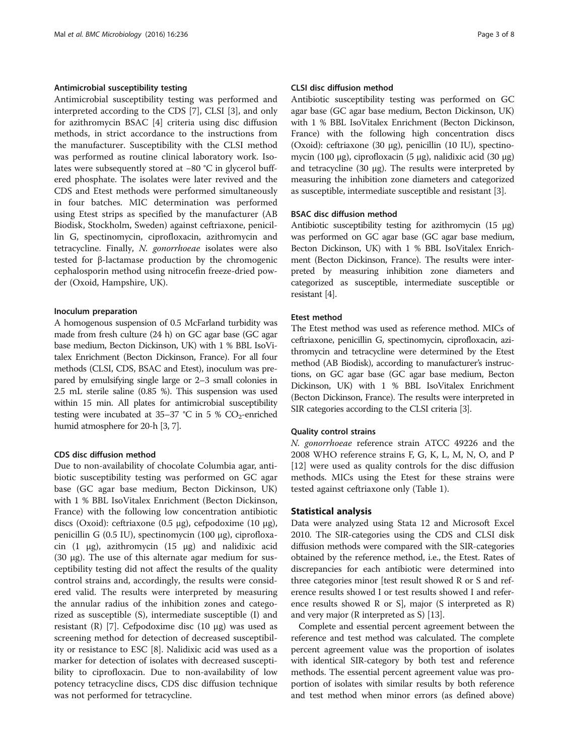## Antimicrobial susceptibility testing

Antimicrobial susceptibility testing was performed and interpreted according to the CDS [\[7\]](#page-6-0), CLSI [\[3](#page-6-0)], and only for azithromycin BSAC [[4](#page-6-0)] criteria using disc diffusion methods, in strict accordance to the instructions from the manufacturer. Susceptibility with the CLSI method was performed as routine clinical laboratory work. Isolates were subsequently stored at −80 °C in glycerol buffered phosphate. The isolates were later revived and the CDS and Etest methods were performed simultaneously in four batches. MIC determination was performed using Etest strips as specified by the manufacturer (AB Biodisk, Stockholm, Sweden) against ceftriaxone, penicillin G, spectinomycin, ciprofloxacin, azithromycin and tetracycline. Finally, N. gonorrhoeae isolates were also tested for β-lactamase production by the chromogenic cephalosporin method using nitrocefin freeze-dried powder (Oxoid, Hampshire, UK).

#### Inoculum preparation

A homogenous suspension of 0.5 McFarland turbidity was made from fresh culture (24 h) on GC agar base (GC agar base medium, Becton Dickinson, UK) with 1 % BBL IsoVitalex Enrichment (Becton Dickinson, France). For all four methods (CLSI, CDS, BSAC and Etest), inoculum was prepared by emulsifying single large or 2–3 small colonies in 2.5 mL sterile saline (0.85 %). This suspension was used within 15 min. All plates for antimicrobial susceptibility testing were incubated at  $35-37$  °C in 5 % CO<sub>2</sub>-enriched humid atmosphere for 20-h [[3](#page-6-0), [7\]](#page-6-0).

## CDS disc diffusion method

Due to non-availability of chocolate Columbia agar, antibiotic susceptibility testing was performed on GC agar base (GC agar base medium, Becton Dickinson, UK) with 1 % BBL IsoVitalex Enrichment (Becton Dickinson, France) with the following low concentration antibiotic discs (Oxoid): ceftriaxone (0.5 μg), cefpodoxime (10 μg), penicillin G (0.5 IU), spectinomycin (100 μg), ciprofloxacin (1 μg), azithromycin (15 μg) and nalidixic acid (30 μg). The use of this alternate agar medium for susceptibility testing did not affect the results of the quality control strains and, accordingly, the results were considered valid. The results were interpreted by measuring the annular radius of the inhibition zones and categorized as susceptible (S), intermediate susceptible (I) and resistant (R) [\[7](#page-6-0)]. Cefpodoxime disc (10 μg) was used as screening method for detection of decreased susceptibility or resistance to ESC [[8\]](#page-6-0). Nalidixic acid was used as a marker for detection of isolates with decreased susceptibility to ciprofloxacin. Due to non-availability of low potency tetracycline discs, CDS disc diffusion technique was not performed for tetracycline.

### CLSI disc diffusion method

Antibiotic susceptibility testing was performed on GC agar base (GC agar base medium, Becton Dickinson, UK) with 1 % BBL IsoVitalex Enrichment (Becton Dickinson, France) with the following high concentration discs (Oxoid): ceftriaxone (30 μg), penicillin (10 IU), spectinomycin (100 μg), ciprofloxacin (5 μg), nalidixic acid (30 μg) and tetracycline (30 μg). The results were interpreted by measuring the inhibition zone diameters and categorized as susceptible, intermediate susceptible and resistant [\[3\]](#page-6-0).

#### BSAC disc diffusion method

Antibiotic susceptibility testing for azithromycin (15 μg) was performed on GC agar base (GC agar base medium, Becton Dickinson, UK) with 1 % BBL IsoVitalex Enrichment (Becton Dickinson, France). The results were interpreted by measuring inhibition zone diameters and categorized as susceptible, intermediate susceptible or resistant [\[4\]](#page-6-0).

### Etest method

The Etest method was used as reference method. MICs of ceftriaxone, penicillin G, spectinomycin, ciprofloxacin, azithromycin and tetracycline were determined by the Etest method (AB Biodisk), according to manufacturer's instructions, on GC agar base (GC agar base medium, Becton Dickinson, UK) with 1 % BBL IsoVitalex Enrichment (Becton Dickinson, France). The results were interpreted in SIR categories according to the CLSI criteria [\[3\]](#page-6-0).

#### Quality control strains

N. gonorrhoeae reference strain ATCC 49226 and the 2008 WHO reference strains F, G, K, L, M, N, O, and P [[12\]](#page-6-0) were used as quality controls for the disc diffusion methods. MICs using the Etest for these strains were tested against ceftriaxone only (Table [1](#page-3-0)).

### Statistical analysis

Data were analyzed using Stata 12 and Microsoft Excel 2010. The SIR-categories using the CDS and CLSI disk diffusion methods were compared with the SIR-categories obtained by the reference method, i.e., the Etest. Rates of discrepancies for each antibiotic were determined into three categories minor [test result showed R or S and reference results showed I or test results showed I and reference results showed R or S], major (S interpreted as R) and very major (R interpreted as S) [[13](#page-7-0)].

Complete and essential percent agreement between the reference and test method was calculated. The complete percent agreement value was the proportion of isolates with identical SIR-category by both test and reference methods. The essential percent agreement value was proportion of isolates with similar results by both reference and test method when minor errors (as defined above)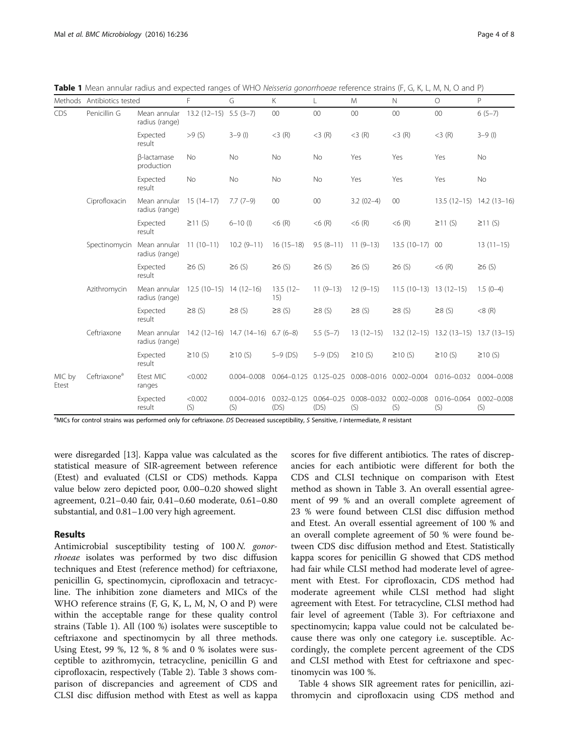<span id="page-3-0"></span>Table 1 Mean annular radius and expected ranges of WHO Neisseria gonorrhoeae reference strains (F, G, K, L, M, N, O and P)

|                 | Methods Antibiotics tested |                                | F                         | G                                     | K.                                     | L            | M                                              | $\mathbb N$              | $\circ$                                | P                      |
|-----------------|----------------------------|--------------------------------|---------------------------|---------------------------------------|----------------------------------------|--------------|------------------------------------------------|--------------------------|----------------------------------------|------------------------|
| CDS             | Penicillin G               | Mean annular<br>radius (range) | $13.2(12-15)$ 5.5 $(3-7)$ |                                       | $00\,$                                 | 00           | 00                                             | $00\,$                   | $00\,$                                 | $6(5-7)$               |
|                 |                            | Expected<br>result             | >9(S)                     | $3 - 9$ (l)                           | $<$ 3 $(R)$                            | $<$ 3 $(R)$  | $<$ 3 $(R)$                                    | $<$ 3 $(R)$              | $<$ 3 $(R)$                            | $3 - 9$ (I)            |
|                 |                            | β-lactamase<br>production      | <b>No</b>                 | <b>No</b>                             | <b>No</b>                              | <b>No</b>    | Yes                                            | Yes                      | Yes                                    | <b>No</b>              |
|                 |                            | Expected<br>result             | No                        | No                                    | No                                     | No           | Yes                                            | Yes                      | Yes                                    | <b>No</b>              |
|                 | Ciprofloxacin              | Mean annular<br>radius (range) | $15(14-17)$               | $7.7(7-9)$                            | $00\,$                                 | $00\,$       | $3.2(02-4)$                                    | $00\,$                   | 13.5 (12-15) 14.2 (13-16)              |                        |
|                 |                            | Expected<br>result             | $\geq$ 11 (S)             | $6 - 10$ (l)                          | $<$ 6 $(R)$                            | $< 6$ (R)    | $< 6$ (R)                                      | $<$ 6 $(R)$              | $\geq$ 11 (S)                          | $\geq$ 11 (S)          |
|                 | Spectinomycin Mean annular | radius (range)                 | $11(10-11)$               | $10.2(9-11)$                          | $16(15-18)$                            | $9.5(8-11)$  | $11(9-13)$                                     | 13.5 (10-17) 00          |                                        | $13(11-15)$            |
|                 |                            | Expected<br>result             | $\geq 6$ (S)              | $\geq 6$ (S)                          | $\geq 6$ (S)                           | $\geq 6$ (S) | $\geq 6$ (S)                                   | $\geq 6$ (S)             | $< 6$ (R)                              | $\geq 6$ (S)           |
|                 | Azithromycin               | Mean annular<br>radius (range) | $12.5(10-15)$ 14 (12-16)  |                                       | $13.5(12 -$<br>15)                     | $11(9-13)$   | $12(9-15)$                                     | $11.5(10-13)$ 13 (12-15) |                                        | $1.5(0-4)$             |
|                 |                            | Expected<br>result             | $\geq$ 8 (S)              | $\geq$ 8 (S)                          | $\geq$ 8 (S)                           | $\geq$ 8 (S) | $\geq$ 8 (S)                                   | $\geq$ 8 (S)             | $\geq$ 8 (S)                           | $<8$ (R)               |
|                 | Ceftriaxone                | Mean annular<br>radius (range) |                           | $14.2(12-16)$ $14.7(14-16)$ 6.7 (6-8) |                                        | $5.5(5-7)$   | $13(12-15)$                                    |                          | 13.2 (12-15) 13.2 (13-15) 13.7 (13-15) |                        |
|                 |                            | Expected<br>result             | $\geq$ 10 (S)             | $\geq$ 10 (S)                         | $5-9$ (DS)                             | $5-9$ (DS)   | $\geq$ 10 (S)                                  | $\geq$ 10 $(S)$          | $\geq$ 10 (S)                          | $\geq$ 10 (S)          |
| MIC by<br>Etest | Ceftriaxone <sup>a</sup>   | Etest MIC<br>ranges            | < 0.002                   | $0.004 - 0.008$                       |                                        |              | 0.064-0.125 0.125-0.25 0.008-0.016 0.002-0.004 |                          | $0.016 - 0.032$                        | $0.004 - 0.008$        |
|                 |                            | Expected<br>result             | < 0.002<br>(S)            | $0.004 - 0.016$<br>(S)                | $0.032 - 0.125$ $0.064 - 0.25$<br>(DS) | (DS)         | $0.008 - 0.032$<br>(S)                         | $0.002 - 0.008$<br>(S)   | $0.016 - 0.064$<br>(S)                 | $0.002 - 0.008$<br>(S) |

<sup>a</sup>MICs for control strains was performed only for ceftriaxone. DS Decreased susceptibility, S Sensitive, I intermediate, R resistant

were disregarded [\[13\]](#page-7-0). Kappa value was calculated as the statistical measure of SIR-agreement between reference (Etest) and evaluated (CLSI or CDS) methods. Kappa value below zero depicted poor, 0.00–0.20 showed slight agreement, 0.21–0.40 fair, 0.41–0.60 moderate, 0.61–0.80 substantial, and 0.81–1.00 very high agreement.

#### Results

Antimicrobial susceptibility testing of 100 N. gonorrhoeae isolates was performed by two disc diffusion techniques and Etest (reference method) for ceftriaxone, penicillin G, spectinomycin, ciprofloxacin and tetracycline. The inhibition zone diameters and MICs of the WHO reference strains (F, G, K, L, M, N, O and P) were within the acceptable range for these quality control strains (Table 1). All (100 %) isolates were susceptible to ceftriaxone and spectinomycin by all three methods. Using Etest, 99 %, 12 %, 8 % and 0 % isolates were susceptible to azithromycin, tetracycline, penicillin G and ciprofloxacin, respectively (Table [2](#page-4-0)). Table [3](#page-4-0) shows comparison of discrepancies and agreement of CDS and CLSI disc diffusion method with Etest as well as kappa scores for five different antibiotics. The rates of discrepancies for each antibiotic were different for both the CDS and CLSI technique on comparison with Etest method as shown in Table [3](#page-4-0). An overall essential agreement of 99 % and an overall complete agreement of 23 % were found between CLSI disc diffusion method and Etest. An overall essential agreement of 100 % and an overall complete agreement of 50 % were found between CDS disc diffusion method and Etest. Statistically kappa scores for penicillin G showed that CDS method had fair while CLSI method had moderate level of agreement with Etest. For ciprofloxacin, CDS method had moderate agreement while CLSI method had slight agreement with Etest. For tetracycline, CLSI method had fair level of agreement (Table [3\)](#page-4-0). For ceftriaxone and spectinomycin; kappa value could not be calculated because there was only one category i.e. susceptible. Accordingly, the complete percent agreement of the CDS and CLSI method with Etest for ceftriaxone and spectinomycin was 100 %.

Table [4](#page-5-0) shows SIR agreement rates for penicillin, azithromycin and ciprofloxacin using CDS method and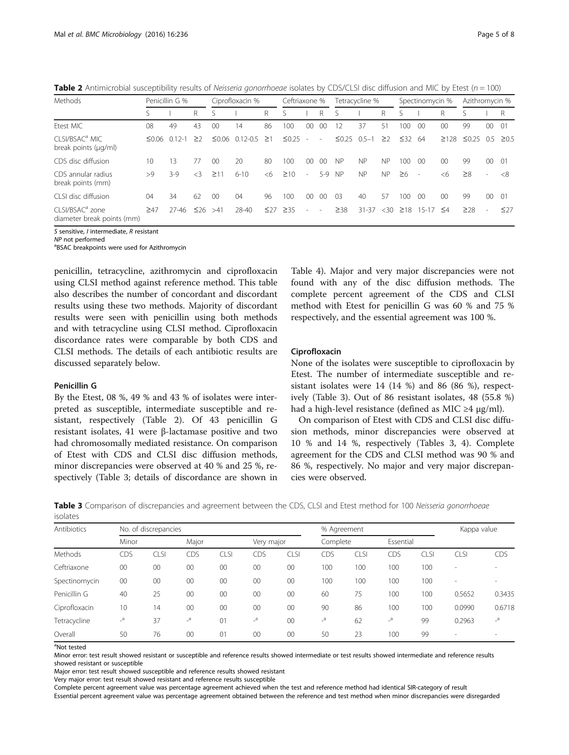<span id="page-4-0"></span>**Table 2** Antimicrobial susceptibility results of Neisseria gonorrhoeae isolates by CDS/CLSI disc diffusion and MIC by Etest ( $n = 100$ )

| Methods                                                   | Penicillin G % |            |           | Ciprofloxacin % |              |           | Ceftriaxone % |                          | Tetracycline %           |                | Spectinomycin % |           | Azithromycin % |        |                 |             |                          |            |
|-----------------------------------------------------------|----------------|------------|-----------|-----------------|--------------|-----------|---------------|--------------------------|--------------------------|----------------|-----------------|-----------|----------------|--------|-----------------|-------------|--------------------------|------------|
|                                                           |                |            | R         |                 |              | R         |               |                          | R                        |                |                 | R         |                |        | R               |             |                          | R          |
| Etest MIC                                                 | 08             | 49         | 43        | 00              | 14           | 86        | 100           | 00                       | 00                       | 12             | 37              | 51        | 100            | 00     | $00 \,$         | 99          | 00                       | -01        |
| CLSI/BSAC <sup>a</sup> MIC<br>break points (µg/ml)        | ≤0.06          | $0.12 - 1$ | >2        | $\leq 0.06$     | $0.12 - 0.5$ | $\geq$ 1  | $\leq 0.25$   | ٠                        | $\sim$                   | $\leq 0.25$    | $0.5 - 1$       | $\geq$    | $\leq 32$ 64   |        | $\geq 128$      | $\leq 0.25$ | 0.5                      | $\geq 0.5$ |
| CDS disc diffusion                                        | 10             | 13         | 77        | 00              | 20           | 80        | 100           | 00                       | 00                       | <b>NP</b>      | <b>NP</b>       | <b>NP</b> | 100            | 00     | $00 \,$         | 99          | $00 \,$                  | - 01       |
| CDS annular radius<br>break points (mm)                   | >9             | $3-9$      | $\leq$ 3  | $\geq$ 11       | $6 - 10$     | <6        | $\geq 10$     | $\overline{\phantom{a}}$ | 5-9                      | <b>NP</b>      | <b>NP</b>       | <b>NP</b> | $\geq 6$       | ٠      | <6              | $\geq$ 8    | $\sim$                   | <8         |
| CLSI disc diffusion                                       | 04             | 34         | 62        | 0 <sup>0</sup>  | 04           | 96        | 100           | 0 <sup>0</sup>           | 00                       | 0 <sup>3</sup> | 40              | 57        | 100            | -00    | 00 <sup>0</sup> | 99          | 00                       | -01        |
| CLSI/BSAC <sup>a</sup> zone<br>diameter break points (mm) | $\geq 47$      | $27 - 46$  | $\leq 26$ | >41             | 28-40        | $\leq$ 27 | $\geq$ 35     | ٠                        | $\overline{\phantom{a}}$ | $\geq$ 38      | $31 - 37$       | <30       | $\geq$ 18      | $15-1$ | $\leq 4$        | $\geq$ 28   | $\overline{\phantom{a}}$ | $\leq$ 27  |

S sensitive, I intermediate, R resistant

 $NP$  not performed

<sup>a</sup>BSAC breakpoints were used for Azithromycin

penicillin, tetracycline, azithromycin and ciprofloxacin using CLSI method against reference method. This table also describes the number of concordant and discordant results using these two methods. Majority of discordant results were seen with penicillin using both methods and with tetracycline using CLSI method. Ciprofloxacin discordance rates were comparable by both CDS and CLSI methods. The details of each antibiotic results are discussed separately below.

#### Penicillin G

By the Etest, 08 %, 49 % and 43 % of isolates were interpreted as susceptible, intermediate susceptible and resistant, respectively (Table 2). Of 43 penicillin G resistant isolates, 41 were β-lactamase positive and two had chromosomally mediated resistance. On comparison of Etest with CDS and CLSI disc diffusion methods, minor discrepancies were observed at 40 % and 25 %, respectively (Table 3; details of discordance are shown in

Table [4\)](#page-5-0). Major and very major discrepancies were not found with any of the disc diffusion methods. The complete percent agreement of the CDS and CLSI method with Etest for penicillin G was 60 % and 75 % respectively, and the essential agreement was 100 %.

#### Ciprofloxacin

None of the isolates were susceptible to ciprofloxacin by Etest. The number of intermediate susceptible and resistant isolates were 14 (14 %) and 86 (86 %), respectively (Table 3). Out of 86 resistant isolates, 48 (55.8 %) had a high-level resistance (defined as MIC  $\geq$ 4 μg/ml).

On comparison of Etest with CDS and CLSI disc diffusion methods, minor discrepancies were observed at 10 % and 14 %, respectively (Tables 3, [4](#page-5-0)). Complete agreement for the CDS and CLSI method was 90 % and 86 %, respectively. No major and very major discrepancies were observed.

Table 3 Comparison of discrepancies and agreement between the CDS, CLSI and Etest method for 100 Neisseria gonorrhoeae isolates

| Antibiotics    | No. of discrepancies |      |       |             |                           |             |                | % Agreement | Kappa value    |             |                          |                          |  |
|----------------|----------------------|------|-------|-------------|---------------------------|-------------|----------------|-------------|----------------|-------------|--------------------------|--------------------------|--|
|                | Minor                |      | Major |             | Very major                |             | Complete       |             | Essential      |             |                          |                          |  |
| <b>Methods</b> | CDS                  | CLSI | CDS   | <b>CLSI</b> | CDS                       | <b>CLSI</b> | CDS            | CLSI        | CDS            | <b>CLSI</b> | CLSI                     | CDS                      |  |
| Ceftriaxone    | $00\,$               | 00   | 00    | 00          | 00                        | 00          | 100            | 100         | 100            | 100         | -                        | $\overline{\phantom{a}}$ |  |
| Spectinomycin  | 00                   | 00   | 00    | 00          | 00                        | 00          | 100            | 100         | 100            | 100         | $\overline{\phantom{a}}$ | $\sim$                   |  |
| Penicillin G   | 40                   | 25   | 00    | $00\,$      | 00                        | 00          | 60             | 75          | 100            | 100         | 0.5652                   | 0.3435                   |  |
| Ciprofloxacin  | 10                   | 14   | 00    | 00          | 00                        | 00          | 90             | 86          | 100            | 100         | 0.0990                   | 0.6718                   |  |
| Tetracycline   | $\overline{a}$       | 37   | $a^2$ | 01          | $\mathsf{L}^{\mathsf{a}}$ | 00          | $\overline{a}$ | 62          | $\overline{a}$ | 99          | 0.2963                   | $\mathbf{a}$             |  |
| Overall        | 50                   | 76   | 00    | 01          | 00                        | 00          | 50             | 23          | 100            | 99          | $\overline{\phantom{a}}$ | $\sim$                   |  |

<sup>a</sup>Not tested

Minor error: test result showed resistant or susceptible and reference results showed intermediate or test results showed intermediate and reference results showed resistant or susceptible

Major error: test result showed susceptible and reference results showed resistant

Very major error: test result showed resistant and reference results susceptible

Complete percent agreement value was percentage agreement achieved when the test and reference method had identical SIR-category of result

Essential percent agreement value was percentage agreement obtained between the reference and test method when minor discrepancies were disregarded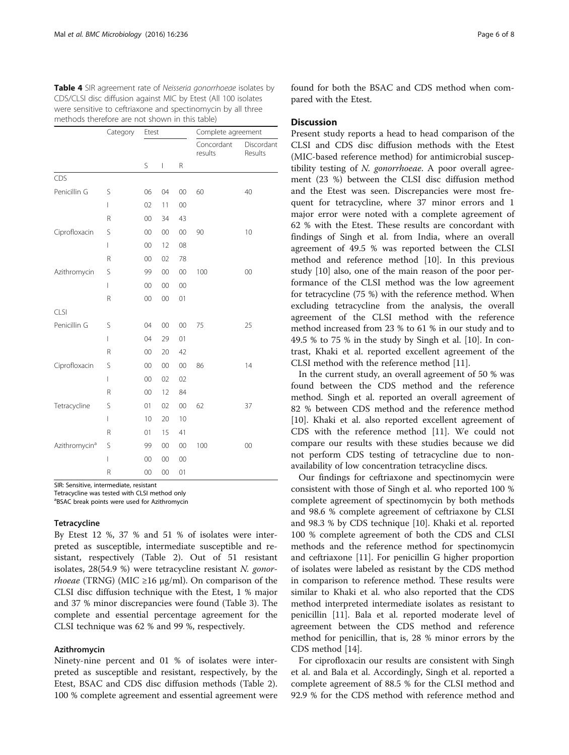<span id="page-5-0"></span>

| Table 4 SIR agreement rate of Neisseria gonorrhoeae isolates by |
|-----------------------------------------------------------------|
| CDS/CLSI disc diffusion against MIC by Etest (All 100 isolates  |
| were sensitive to ceftriaxone and spectinomycin by all three    |
| methods therefore are not shown in this table)                  |

|                           | Category | Etest  |        |    | Complete agreement    |                       |  |  |  |
|---------------------------|----------|--------|--------|----|-----------------------|-----------------------|--|--|--|
|                           |          |        |        |    | Concordant<br>results | Discordant<br>Results |  |  |  |
|                           |          | S      | I      | R  |                       |                       |  |  |  |
| CDS                       |          |        |        |    |                       |                       |  |  |  |
| Penicillin G              | S        | 06     | 04     | 00 | 60                    | 40                    |  |  |  |
|                           | I        | 02     | 11     | 00 |                       |                       |  |  |  |
|                           | R        | $00\,$ | 34     | 43 |                       |                       |  |  |  |
| Ciprofloxacin             | S        | $00\,$ | 00     | 00 | 90                    | 10                    |  |  |  |
|                           | I        | 00     | 12     | 08 |                       |                       |  |  |  |
|                           | R        | $00\,$ | 02     | 78 |                       |                       |  |  |  |
| Azithromycin              | S        | 99     | 00     | 00 | 100                   | 00                    |  |  |  |
|                           | I        | $00\,$ | $00\,$ | 00 |                       |                       |  |  |  |
|                           | R        | 00     | $00\,$ | 01 |                       |                       |  |  |  |
| CLSI                      |          |        |        |    |                       |                       |  |  |  |
| Penicillin G              | S        | 04     | $00\,$ | 00 | 75                    | 25                    |  |  |  |
|                           | I        | 04     | 29     | 01 |                       |                       |  |  |  |
|                           | R        | 00     | 20     | 42 |                       |                       |  |  |  |
| Ciprofloxacin             | S        | 00     | 00     | 00 | 86                    | 14                    |  |  |  |
|                           | I        | 00     | 02     | 02 |                       |                       |  |  |  |
|                           | R        | 00     | 12     | 84 |                       |                       |  |  |  |
| Tetracycline              | S        | 01     | 02     | 00 | 62                    | 37                    |  |  |  |
|                           | I        | 10     | 20     | 10 |                       |                       |  |  |  |
|                           | R        | 01     | 15     | 41 |                       |                       |  |  |  |
| Azithromycin <sup>a</sup> | S        | 99     | $00\,$ | 00 | 100                   | 00                    |  |  |  |
|                           | I        | 00     | 00     | 00 |                       |                       |  |  |  |
|                           | R        | 00     | 00     | 01 |                       |                       |  |  |  |

SIR: Sensitive, intermediate, resistant

Tetracycline was tested with CLSI method only

a BSAC break points were used for Azithromycin

#### **Tetracycline**

By Etest 12 %, 37 % and 51 % of isolates were interpreted as susceptible, intermediate susceptible and resistant, respectively (Table [2](#page-4-0)). Out of 51 resistant isolates, 28(54.9 %) were tetracycline resistant N. gonor*rhoeae* (TRNG) (MIC  $\geq$ 16 μg/ml). On comparison of the CLSI disc diffusion technique with the Etest, 1 % major and 37 % minor discrepancies were found (Table [3\)](#page-4-0). The complete and essential percentage agreement for the CLSI technique was 62 % and 99 %, respectively.

## Azithromycin

Ninety-nine percent and 01 % of isolates were interpreted as susceptible and resistant, respectively, by the Etest, BSAC and CDS disc diffusion methods (Table [2](#page-4-0)). 100 % complete agreement and essential agreement were

found for both the BSAC and CDS method when compared with the Etest.

#### **Discussion**

Present study reports a head to head comparison of the CLSI and CDS disc diffusion methods with the Etest (MIC-based reference method) for antimicrobial susceptibility testing of N. gonorrhoeae. A poor overall agreement (23 %) between the CLSI disc diffusion method and the Etest was seen. Discrepancies were most frequent for tetracycline, where 37 minor errors and 1 major error were noted with a complete agreement of 62 % with the Etest. These results are concordant with findings of Singh et al. from India, where an overall agreement of 49.5 % was reported between the CLSI method and reference method [\[10](#page-6-0)]. In this previous study [\[10](#page-6-0)] also, one of the main reason of the poor performance of the CLSI method was the low agreement for tetracycline (75 %) with the reference method. When excluding tetracycline from the analysis, the overall agreement of the CLSI method with the reference method increased from 23 % to 61 % in our study and to 49.5 % to 75 % in the study by Singh et al. [\[10](#page-6-0)]. In contrast, Khaki et al. reported excellent agreement of the CLSI method with the reference method [\[11](#page-6-0)].

In the current study, an overall agreement of 50 % was found between the CDS method and the reference method. Singh et al. reported an overall agreement of 82 % between CDS method and the reference method [[10\]](#page-6-0). Khaki et al. also reported excellent agreement of CDS with the reference method [\[11](#page-6-0)]. We could not compare our results with these studies because we did not perform CDS testing of tetracycline due to nonavailability of low concentration tetracycline discs.

Our findings for ceftriaxone and spectinomycin were consistent with those of Singh et al. who reported 100 % complete agreement of spectinomycin by both methods and 98.6 % complete agreement of ceftriaxone by CLSI and 98.3 % by CDS technique [[10\]](#page-6-0). Khaki et al. reported 100 % complete agreement of both the CDS and CLSI methods and the reference method for spectinomycin and ceftriaxone [[11\]](#page-6-0). For penicillin G higher proportion of isolates were labeled as resistant by the CDS method in comparison to reference method. These results were similar to Khaki et al. who also reported that the CDS method interpreted intermediate isolates as resistant to penicillin [\[11\]](#page-6-0). Bala et al. reported moderate level of agreement between the CDS method and reference method for penicillin, that is, 28 % minor errors by the CDS method [[14\]](#page-7-0).

For ciprofloxacin our results are consistent with Singh et al. and Bala et al. Accordingly, Singh et al. reported a complete agreement of 88.5 % for the CLSI method and 92.9 % for the CDS method with reference method and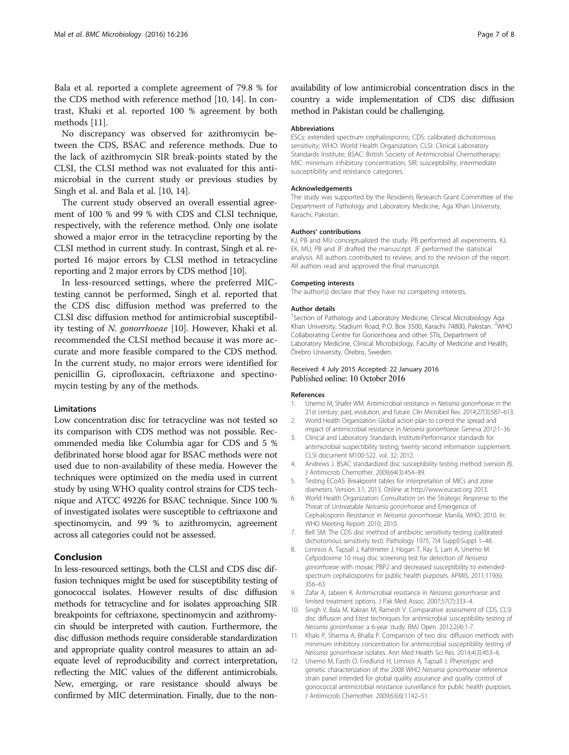<span id="page-6-0"></span>Bala et al. reported a complete agreement of 79.8 % for the CDS method with reference method [10, [14](#page-7-0)]. In contrast, Khaki et al. reported 100 % agreement by both methods [11].

No discrepancy was observed for azithromycin between the CDS, BSAC and reference methods. Due to the lack of azithromycin SIR break-points stated by the CLSI, the CLSI method was not evaluated for this antimicrobial in the current study or previous studies by Singh et al. and Bala et al. [10, [14\]](#page-7-0).

The current study observed an overall essential agreement of 100 % and 99 % with CDS and CLSI technique, respectively, with the reference method. Only one isolate showed a major error in the tetracycline reporting by the CLSI method in current study. In contrast, Singh et al. reported 16 major errors by CLSI method in tetracycline reporting and 2 major errors by CDS method [10].

In less-resourced settings, where the preferred MICtesting cannot be performed, Singh et al. reported that the CDS disc diffusion method was preferred to the CLSI disc diffusion method for antimicrobial susceptibility testing of N. gonorrhoeae [10]. However, Khaki et al. recommended the CLSI method because it was more accurate and more feasible compared to the CDS method. In the current study, no major errors were identified for penicillin G, ciprofloxacin, ceftriaxone and spectinomycin testing by any of the methods.

#### Limitations

Low concentration disc for tetracycline was not tested so its comparison with CDS method was not possible. Recommended media like Columbia agar for CDS and 5 % defibrinated horse blood agar for BSAC methods were not used due to non-availability of these media. However the techniques were optimized on the media used in current study by using WHO quality control strains for CDS technique and ATCC 49226 for BSAC technique. Since 100 % of investigated isolates were susceptible to ceftriaxone and spectinomycin, and 99 % to azithromycin, agreement across all categories could not be assessed.

## Conclusion

In less-resourced settings, both the CLSI and CDS disc diffusion techniques might be used for susceptibility testing of gonococcal isolates. However results of disc diffusion methods for tetracycline and for isolates approaching SIR breakpoints for ceftriaxone, spectinomycin and azithromycin should be interpreted with caution. Furthermore, the disc diffusion methods require considerable standardization and appropriate quality control measures to attain an adequate level of reproducibility and correct interpretation, reflecting the MIC values of the different antimicrobials. New, emerging, or rare resistance should always be confirmed by MIC determination. Finally, due to the nonavailability of low antimicrobial concentration discs in the country a wide implementation of CDS disc diffusion method in Pakistan could be challenging.

#### Abbreviations

ESCs: extended spectrum cephalosporins; CDS: calibrated dichotomous sensitivity; WHO: World Health Organization; CLSI: Clinical Laboratory Standards Institute; BSAC: British Society of Antimicrobial Chemotherapy; MIC: minimum inhibitory concentration; SIR: susceptibility, intermediate susceptibility and resistance categories.

#### Acknowledgements

The study was supported by the Residents Research Grant Committee of the Department of Pathology and Laboratory Medicine, Aga Khan University, Karachi, Pakistan.

#### Authors' contributions

KJ, PB and MU conceptualized the study. PB performed all experiments. KJ, EK, MU, PB and JF drafted the manuscript. JF performed the statistical analysis. All authors contributed to review, and to the revision of the report. All authors read and approved the final manuscript.

#### Competing interests

The author(s) declare that they have no competing interests.

#### Author details

<sup>1</sup>Section of Pathology and Laboratory Medicine, Clinical Microbiology Aga Khan University, Stadium Road, P.O. Box 3500, Karachi 74800, Pakistan. <sup>2</sup>WHC Collaborating Centre for Gonorrhoea and other STIs, Department of Laboratory Medicine, Clinical Microbiology, Faculty of Medicine and Health, Örebro University, Örebro, Sweden.

#### Received: 4 July 2015 Accepted: 22 January 2016 Published online: 10 October 2016

#### References

- 1. Unemo M, Shafer WM. Antimicrobial resistance in Neisseria gonorrhoeae in the 21st century: past, evolution, and future. Clin Microbiol Rev. 2014;27(3):587–613. 2. World Health Organization: Global action plan to control the spread and
- impact of antimicrobial resistance in Neisseria gonorrhoeae. Geneva 2012:1–36.
- 3. Clinical and Laboratory Standards Institute:Performance standards for antimicrobial suspectibility testing; twenty second information supplement. CLSI document M100-S22. vol. 32; 2012.
- 4. Andrews J. BSAC standardized disc susceptibility testing method (version 8). J Antimicrob Chemother. 2009;64(3):454–89.
- 5. Testing ECoAS: Breakpoint tables for interpretation of MICs and zone diameters. Version 3.1, 2013. Online at [http://www.eucast.org](http://www.eucast.org/) 2013.
- 6. World Health Organization: Consultation on the Strategic Response to the Threat of Untreatable Neisseria gonorrhoeae and Emergence of Cephalosporin Resistance in Neisseria gonorrhoeae. Manila, WHO; 2010. In: WHO Meeting Report: 2010; 2010.
- 7. Bell SM: The CDS disc method of antibiotic sensitivity testing (calibrated dichotomous sensitivity test). Pathology 1975, 7(4 Suppl):Suppl 1–48.
- 8. Limnios A, Tapsall J, Kahlmeter J, Hogan T, Ray S, Lam A, Unemo M. Cefpodoxime 10 mug disc screening test for detection of Neisseria gonorrhoeae with mosaic PBP2 and decreased susceptibility to extendedspectrum cephalosporins for public health purposes. APMIS. 2011;119(6): 356–63.
- 9. Zafar A, Jabeen K. Antimicrobial resistance in Neisseria gonorrhoeae and limited treatment options. J Pak Med Assoc. 2007;57(7):333–4.
- 10. Singh V, Bala M, Kakran M, Ramesh V. Comparative assessment of CDS, CLSI disc diffusion and Etest techniques for antimicrobial susceptibility testing of Neisseria gonorrhoeae: a 6-year study. BMJ Open. 2012;2(4):1-7.
- 11. Khaki P, Sharma A, Bhalla P. Comparison of two disc diffusion methods with minimum inhibitory concentration for antimicrobial susceptibility testing of Neisseria gonorrhoeae isolates. Ann Med Health Sci Res. 2014;4(3):453–6.
- 12. Unemo M, Fasth O, Fredlund H, Limnios A, Tapsall J. Phenotypic and genetic characterization of the 2008 WHO Neisseria gonorrhoeae reference strain panel intended for global quality assurance and quality control of gonococcal antimicrobial resistance surveillance for public health purposes. J Antimicrob Chemother. 2009;63(6):1142–51.